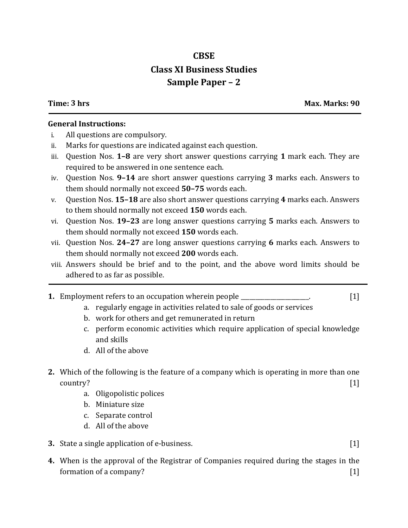## **CBSE Class XI Business Studies Sample Paper – 2**

**Time: 3 hrs Max. Marks: 90**

## **General Instructions:**

- i. All questions are compulsory.
- ii. Marks for questions are indicated against each question.
- iii. Question Nos. **1–8** are very short answer questions carrying **1** mark each. They are required to be answered in one sentence each.
- iv. Question Nos. **9–14** are short answer questions carrying **3** marks each. Answers to them should normally not exceed **50–75** words each.
- v. Question Nos. **15–18** are also short answer questions carrying **4** marks each. Answers to them should normally not exceed **150** words each.
- vi. Question Nos. **19–23** are long answer questions carrying **5** marks each. Answers to them should normally not exceed **150** words each.
- vii. Question Nos. **24–27** are long answer questions carrying **6** marks each. Answers to them should normally not exceed **200** words each.
- viii. Answers should be brief and to the point, and the above word limits should be adhered to as far as possible.
- **1.** Employment refers to an occupation wherein people \_\_\_\_\_\_\_\_\_\_\_\_\_\_\_\_\_. [1]
	- a. regularly engage in activities related to sale of goods or services
	- b. work for others and get remunerated in return
	- c. perform economic activities which require application of special knowledge and skills
	- d. All of the above
- **2.** Which of the following is the feature of a company which is operating in more than one  $\text{country?} \qquad \qquad \text{[1]}$ 
	- a. Oligopolistic polices
	- b. Miniature size
	- c. Separate control
	- d. All of the above
- **3.** State a single application of e-business. [1]
- **4.** When is the approval of the Registrar of Companies required during the stages in the formation of a company? [1]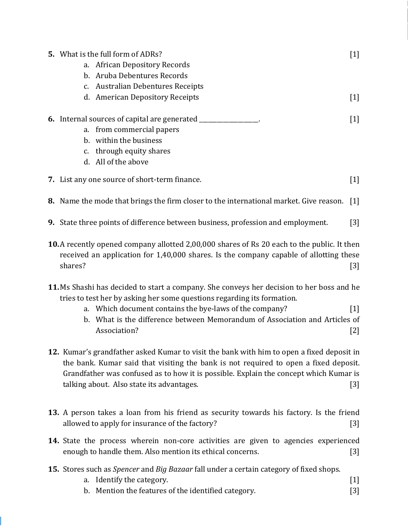| <b>5.</b> What is the full form of ADRs?<br>a. African Depository Records<br>b. Aruba Debentures Records<br>c. Australian Debentures Receipts               | 1   |
|-------------------------------------------------------------------------------------------------------------------------------------------------------------|-----|
| d. American Depository Receipts                                                                                                                             | 1   |
| 6. Internal sources of capital are generated ____<br>a. from commercial papers<br>b. within the business<br>c. through equity shares<br>d. All of the above | 1   |
| 7. List any one source of short-term finance.                                                                                                               | [1] |
| <b>8.</b> Name the mode that brings the firm closer to the international market. Give reason.                                                               | 1   |

- **9.** State three points of difference between business, profession and employment. [3]
- **10.**A recently opened company allotted 2,00,000 shares of Rs 20 each to the public. It then received an application for 1,40,000 shares. Is the company capable of allotting these shares? [3]
- **11.**Ms Shashi has decided to start a company. She conveys her decision to her boss and he tries to test her by asking her some questions regarding its formation.
	- a. Which document contains the bye-laws of the company? [1]
	- b. What is the difference between Memorandum of Association and Articles of Association? [2]
- **12.** Kumar's grandfather asked Kumar to visit the bank with him to open a fixed deposit in the bank. Kumar said that visiting the bank is not required to open a fixed deposit. Grandfather was confused as to how it is possible. Explain the concept which Kumar is talking about. Also state its advantages. [3]
- **13.** A person takes a loan from his friend as security towards his factory. Is the friend allowed to apply for insurance of the factory? [3]
- **14.** State the process wherein non-core activities are given to agencies experienced enough to handle them. Also mention its ethical concerns. [3]
- **15.** Stores such as *Spencer* and *Big Bazaar* fall under a certain category of fixed shops.
	- a. Identify the category. [1]
	- b. Mention the features of the identified category. [3]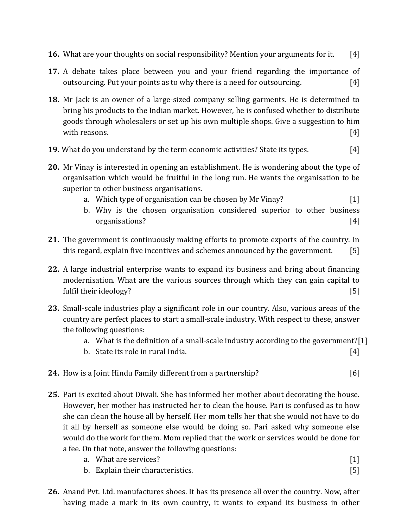- **16.** What are your thoughts on social responsibility? Mention your arguments for it. [4]
- **17.** A debate takes place between you and your friend regarding the importance of outsourcing. Put your points as to why there is a need for outsourcing. [4]
- **18.** Mr Jack is an owner of a large-sized company selling garments. He is determined to bring his products to the Indian market. However, he is confused whether to distribute goods through wholesalers or set up his own multiple shops. Give a suggestion to him with reasons. [4]
- **19.** What do you understand by the term economic activities? State its types. [4]
- **20.** Mr Vinay is interested in opening an establishment. He is wondering about the type of organisation which would be fruitful in the long run. He wants the organisation to be superior to other business organisations.
	- a. Which type of organisation can be chosen by Mr Vinay? [1]
	- b. Why is the chosen organisation considered superior to other business organisations? [4]
- **21.** The government is continuously making efforts to promote exports of the country. In this regard, explain five incentives and schemes announced by the government. [5]
- **22.** A large industrial enterprise wants to expand its business and bring about financing modernisation. What are the various sources through which they can gain capital to fulfil their ideology? [5]
- **23.** Small-scale industries play a significant role in our country. Also, various areas of the country are perfect places to start a small-scale industry. With respect to these, answer the following questions:
	- a. What is the definition of a small-scale industry according to the government?[1]
	- b. State its role in rural India. [4]
- **24.** How is a Joint Hindu Family different from a partnership? [6]
- **25.** Pari is excited about Diwali. She has informed her mother about decorating the house. However, her mother has instructed her to clean the house. Pari is confused as to how she can clean the house all by herself. Her mom tells her that she would not have to do it all by herself as someone else would be doing so. Pari asked why someone else would do the work for them. Mom replied that the work or services would be done for a fee. On that note, answer the following questions:

| on that hold, answer the following questions. |                       |  |  |
|-----------------------------------------------|-----------------------|--|--|
|                                               | a. What are services? |  |  |

- b. Explain their characteristics. [5]
- **26.** Anand Pvt. Ltd. manufactures shoes. It has its presence all over the country. Now, after having made a mark in its own country, it wants to expand its business in other